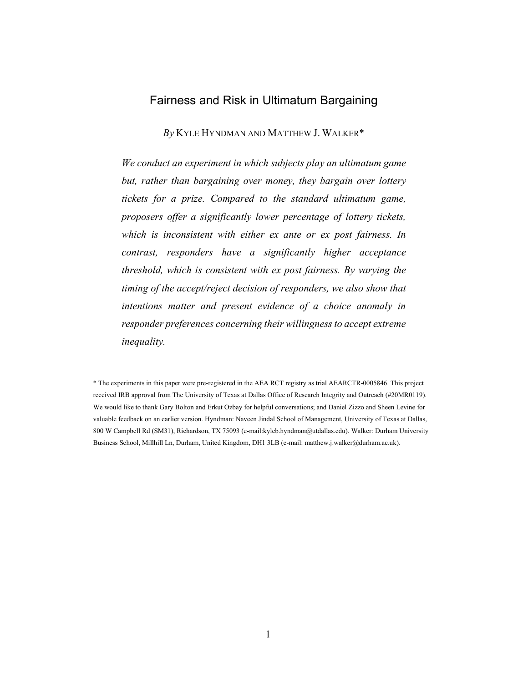# Fairness and Risk in Ultimatum Bargaining

*By* KYLE HYNDMAN AND MATTHEW J. WALKER\*

*We conduct an experiment in which subjects play an ultimatum game but, rather than bargaining over money, they bargain over lottery tickets for a prize. Compared to the standard ultimatum game, proposers offer a significantly lower percentage of lottery tickets, which is inconsistent with either ex ante or ex post fairness. In contrast, responders have a significantly higher acceptance threshold, which is consistent with ex post fairness. By varying the timing of the accept/reject decision of responders, we also show that intentions matter and present evidence of a choice anomaly in responder preferences concerning their willingness to accept extreme inequality.*

<sup>\*</sup> The experiments in this paper were pre-registered in the AEA RCT registry as trial AEARCTR-0005846. This project received IRB approval from The University of Texas at Dallas Office of Research Integrity and Outreach (#20MR0119). We would like to thank Gary Bolton and Erkut Ozbay for helpful conversations; and Daniel Zizzo and Sheen Levine for valuable feedback on an earlier version. Hyndman: Naveen Jindal School of Management, University of Texas at Dallas, 800 W Campbell Rd (SM31), Richardson, TX 75093 (e-mail:kyleb.hyndman@utdallas.edu). Walker: Durham University Business School, Millhill Ln, Durham, United Kingdom, DH1 3LB (e-mail: matthew.j.walker@durham.ac.uk).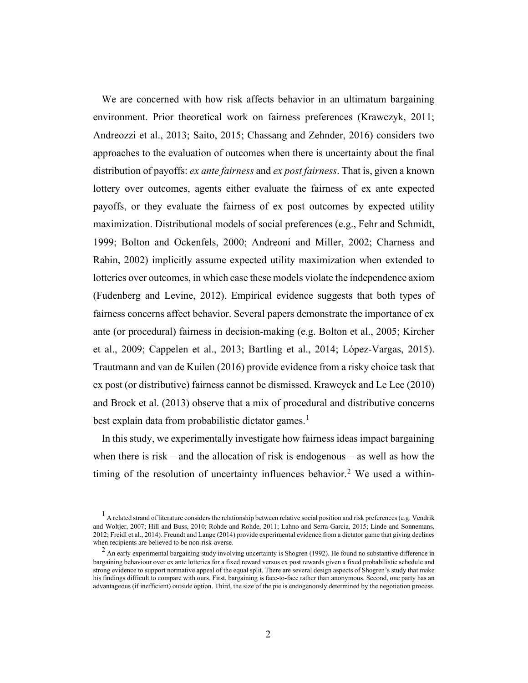We are concerned with how risk affects behavior in an ultimatum bargaining environment. Prior theoretical work on fairness preferences (Krawczyk, 2011; Andreozzi et al., 2013; Saito, 2015; Chassang and Zehnder, 2016) considers two approaches to the evaluation of outcomes when there is uncertainty about the final distribution of payoffs: *ex ante fairness* and *ex post fairness*. That is, given a known lottery over outcomes, agents either evaluate the fairness of ex ante expected payoffs, or they evaluate the fairness of ex post outcomes by expected utility maximization. Distributional models of social preferences (e.g., Fehr and Schmidt, 1999; Bolton and Ockenfels, 2000; Andreoni and Miller, 2002; Charness and Rabin, 2002) implicitly assume expected utility maximization when extended to lotteries over outcomes, in which case these models violate the independence axiom (Fudenberg and Levine, 2012). Empirical evidence suggests that both types of fairness concerns affect behavior. Several papers demonstrate the importance of ex ante (or procedural) fairness in decision-making (e.g. Bolton et al., 2005; Kircher et al., 2009; Cappelen et al., 2013; Bartling et al., 2014; López-Vargas, 2015). Trautmann and van de Kuilen (2016) provide evidence from a risky choice task that ex post (or distributive) fairness cannot be dismissed. Krawcyck and Le Lec (2010) and Brock et al. (2013) observe that a mix of procedural and distributive concerns best explain data from probabilistic dictator games. [1](#page-1-0)

In this study, we experimentally investigate how fairness ideas impact bargaining when there is risk – and the allocation of risk is endogenous – as well as how the timing of the resolution of uncertainty influences behavior. [2](#page-1-1) We used a within-

<span id="page-1-0"></span> $<sup>1</sup>$  A related strand of literature considers the relationship between relative social position and risk preferences (e.g. Vendrik</sup> and Woltjer, 2007; Hill and Buss, 2010; Rohde and Rohde, 2011; Lahno and Serra-Garcia, 2015; Linde and Sonnemans, 2012; Freidl et al., 2014). Freundt and Lange (2014) provide experimental evidence from a dictator game that giving declines when recipients are believed to be non-risk-averse.

<span id="page-1-1"></span> $^2$  An early experimental bargaining study involving uncertainty is Shogren (1992). He found no substantive difference in bargaining behaviour over ex ante lotteries for a fixed reward versus ex post rewards given a fixed probabilistic schedule and strong evidence to support normative appeal of the equal split. There are several design aspects of Shogren's study that make his findings difficult to compare with ours. First, bargaining is face-to-face rather than anonymous. Second, one party has an advantageous (if inefficient) outside option. Third, the size of the pie is endogenously determined by the negotiation process.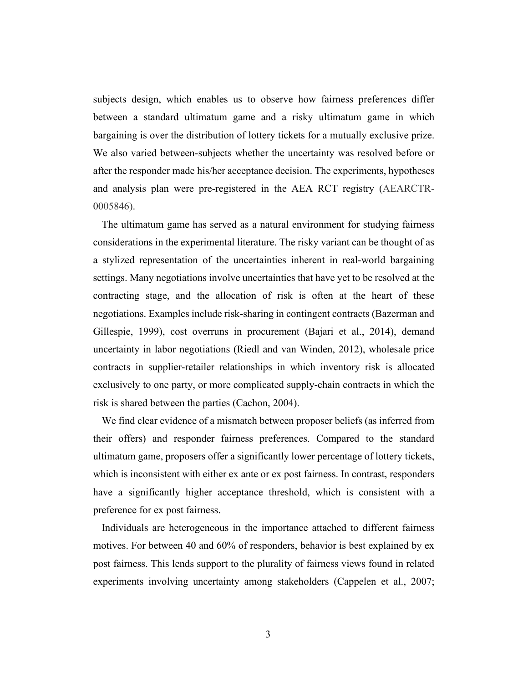subjects design, which enables us to observe how fairness preferences differ between a standard ultimatum game and a risky ultimatum game in which bargaining is over the distribution of lottery tickets for a mutually exclusive prize. We also varied between-subjects whether the uncertainty was resolved before or after the responder made his/her acceptance decision. The experiments, hypotheses and analysis plan were pre-registered in the AEA RCT registry (AEARCTR-0005846).

The ultimatum game has served as a natural environment for studying fairness considerations in the experimental literature. The risky variant can be thought of as a stylized representation of the uncertainties inherent in real-world bargaining settings. Many negotiations involve uncertainties that have yet to be resolved at the contracting stage, and the allocation of risk is often at the heart of these negotiations. Examples include risk-sharing in contingent contracts (Bazerman and Gillespie, 1999), cost overruns in procurement (Bajari et al., 2014), demand uncertainty in labor negotiations (Riedl and van Winden, 2012), wholesale price contracts in supplier-retailer relationships in which inventory risk is allocated exclusively to one party, or more complicated supply-chain contracts in which the risk is shared between the parties (Cachon, 2004).

We find clear evidence of a mismatch between proposer beliefs (as inferred from their offers) and responder fairness preferences. Compared to the standard ultimatum game, proposers offer a significantly lower percentage of lottery tickets, which is inconsistent with either ex ante or ex post fairness. In contrast, responders have a significantly higher acceptance threshold, which is consistent with a preference for ex post fairness.

Individuals are heterogeneous in the importance attached to different fairness motives. For between 40 and 60% of responders, behavior is best explained by ex post fairness. This lends support to the plurality of fairness views found in related experiments involving uncertainty among stakeholders (Cappelen et al., 2007;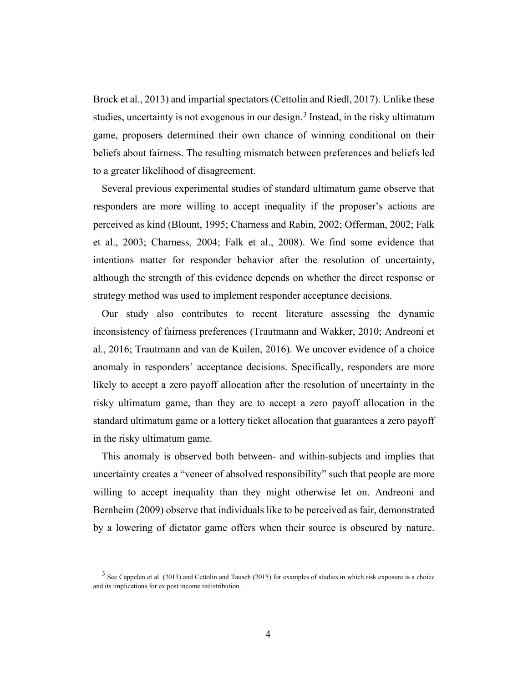Brock et al., 2013) and impartial spectators (Cettolin and Riedl, 2017). Unlike these studies, uncertainty is not exogenous in our design.<sup>[3](#page-3-0)</sup> Instead, in the risky ultimatum game, proposers determined their own chance of winning conditional on their beliefs about fairness. The resulting mismatch between preferences and beliefs led to a greater likelihood of disagreement.

Several previous experimental studies of standard ultimatum game observe that responders are more willing to accept inequality if the proposer's actions are perceived as kind (Blount, 1995; Charness and Rabin, 2002; Offerman, 2002; Falk et al., 2003; Charness, 2004; Falk et al., 2008). We find some evidence that intentions matter for responder behavior after the resolution of uncertainty, although the strength of this evidence depends on whether the direct response or strategy method was used to implement responder acceptance decisions.

Our study also contributes to recent literature assessing the dynamic inconsistency of fairness preferences (Trautmann and Wakker, 2010; Andreoni et al., 2016; Trautmann and van de Kuilen, 2016). We uncover evidence of a choice anomaly in responders' acceptance decisions. Specifically, responders are more likely to accept a zero payoff allocation after the resolution of uncertainty in the risky ultimatum game, than they are to accept a zero payoff allocation in the standard ultimatum game or a lottery ticket allocation that guarantees a zero payoff in the risky ultimatum game.

This anomaly is observed both between- and within-subjects and implies that uncertainty creates a "veneer of absolved responsibility" such that people are more willing to accept inequality than they might otherwise let on. Andreoni and Bernheim (2009) observe that individuals like to be perceived as fair, demonstrated by a lowering of dictator game offers when their source is obscured by nature.

<span id="page-3-0"></span> $3$  See Cappelen et al. (2013) and Cettolin and Tausch (2015) for examples of studies in which risk exposure is a choice and its implications for ex post income redistribution.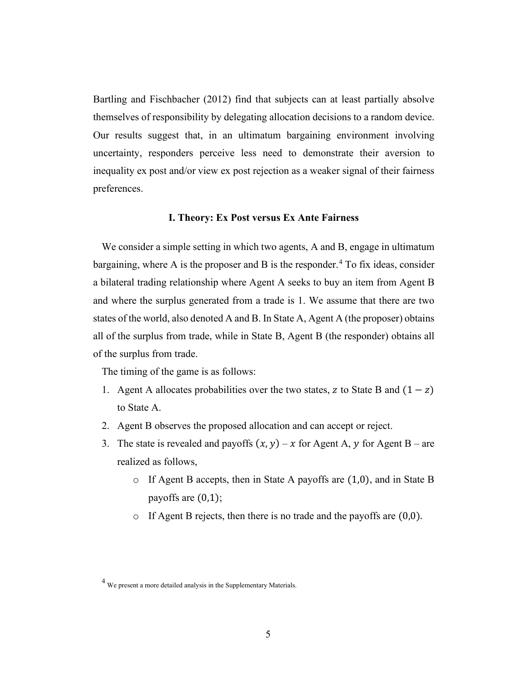Bartling and Fischbacher (2012) find that subjects can at least partially absolve themselves of responsibility by delegating allocation decisions to a random device. Our results suggest that, in an ultimatum bargaining environment involving uncertainty, responders perceive less need to demonstrate their aversion to inequality ex post and/or view ex post rejection as a weaker signal of their fairness preferences.

# **I. Theory: Ex Post versus Ex Ante Fairness**

We consider a simple setting in which two agents, A and B, engage in ultimatum bargaining, where A is the proposer and B is the responder.<sup>[4](#page-4-0)</sup> To fix ideas, consider a bilateral trading relationship where Agent A seeks to buy an item from Agent B and where the surplus generated from a trade is 1. We assume that there are two states of the world, also denoted A and B. In State A, Agent A (the proposer) obtains all of the surplus from trade, while in State B, Agent B (the responder) obtains all of the surplus from trade.

The timing of the game is as follows:

- 1. Agent A allocates probabilities over the two states, z to State B and  $(1 z)$ to State A.
- 2. Agent B observes the proposed allocation and can accept or reject.
- 3. The state is revealed and payoffs  $(x, y) x$  for Agent A, y for Agent B are realized as follows,
	- o If Agent B accepts, then in State A payoffs are (1,0), and in State B payoffs are (0,1);
	- o If Agent B rejects, then there is no trade and the payoffs are (0,0).

<span id="page-4-0"></span><sup>4</sup> We present a more detailed analysis in the Supplementary Materials.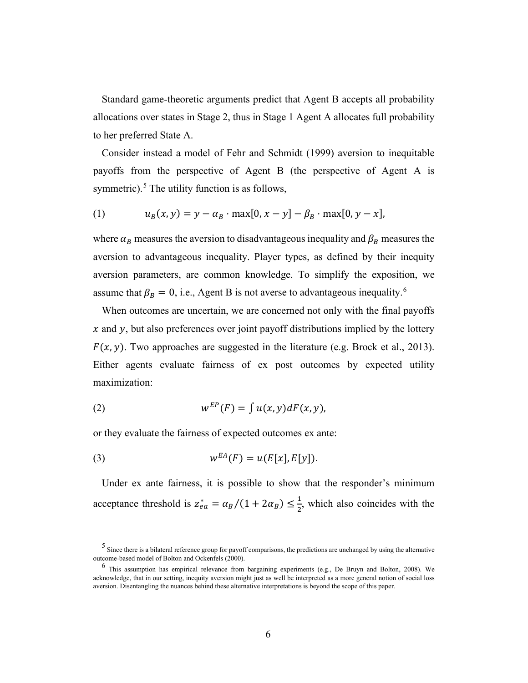Standard game-theoretic arguments predict that Agent B accepts all probability allocations over states in Stage 2, thus in Stage 1 Agent A allocates full probability to her preferred State A.

Consider instead a model of Fehr and Schmidt (1999) aversion to inequitable payoffs from the perspective of Agent B (the perspective of Agent A is symmetric). $5$  The utility function is as follows,

(1) 
$$
u_B(x, y) = y - \alpha_B \cdot \max[0, x - y] - \beta_B \cdot \max[0, y - x],
$$

where  $\alpha_B$  measures the aversion to disadvantageous inequality and  $\beta_B$  measures the aversion to advantageous inequality. Player types, as defined by their inequity aversion parameters, are common knowledge. To simplify the exposition, we assume that  $\beta_B = 0$ , i.e., Agent B is not averse to advantageous inequality.<sup>[6](#page-5-1)</sup>

When outcomes are uncertain, we are concerned not only with the final payoffs  $x$  and  $y$ , but also preferences over joint payoff distributions implied by the lottery  $F(x, y)$ . Two approaches are suggested in the literature (e.g. Brock et al., 2013). Either agents evaluate fairness of ex post outcomes by expected utility maximization:

(2) 
$$
w^{EP}(F) = \int u(x, y) dF(x, y),
$$

or they evaluate the fairness of expected outcomes ex ante:

(3) 
$$
w^{EA}(F) = u(E[x], E[y]).
$$

Under ex ante fairness, it is possible to show that the responder's minimum acceptance threshold is  $z_{ea}^* = \alpha_B/(1 + 2\alpha_B) \le \frac{1}{2}$ , which also coincides with the

<span id="page-5-0"></span><sup>&</sup>lt;sup>5</sup> Since there is a bilateral reference group for payoff comparisons, the predictions are unchanged by using the alternative outcome-based model of Bolton and Ockenfels (2000).

<span id="page-5-1"></span> $^6$  This assumption has empirical relevance from bargaining experiments (e.g., De Bruyn and Bolton, 2008). We acknowledge, that in our setting, inequity aversion might just as well be interpreted as a more general notion of social loss aversion. Disentangling the nuances behind these alternative interpretations is beyond the scope of this paper.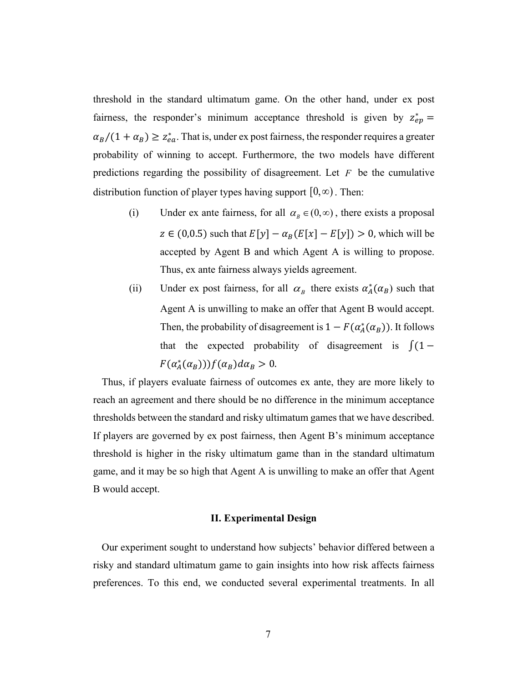threshold in the standard ultimatum game. On the other hand, under ex post fairness, the responder's minimum acceptance threshold is given by  $z_{ep}^* =$  $\alpha_B/(1 + \alpha_B) \geq z_{ea}^*$ . That is, under ex post fairness, the responder requires a greater probability of winning to accept. Furthermore, the two models have different predictions regarding the possibility of disagreement. Let *F* be the cumulative distribution function of player types having support  $[0, \infty)$ . Then:

- (i) Under ex ante fairness, for all  $\alpha_{\beta} \in (0, \infty)$ , there exists a proposal  $z \in (0, 0.5)$  such that  $E[y] - \alpha_B(E[x] - E[y]) > 0$ , which will be accepted by Agent B and which Agent A is willing to propose. Thus, ex ante fairness always yields agreement.
- (ii) Under ex post fairness, for all  $\alpha_B$  there exists  $\alpha_A^*(\alpha_B)$  such that Agent A is unwilling to make an offer that Agent B would accept. Then, the probability of disagreement is  $1 - F(\alpha_A^*(\alpha_B))$ . It follows that the expected probability of disagreement is  $\int (1 F(\alpha_A^*(\alpha_B)))f(\alpha_B)d\alpha_B > 0.$

Thus, if players evaluate fairness of outcomes ex ante, they are more likely to reach an agreement and there should be no difference in the minimum acceptance thresholds between the standard and risky ultimatum games that we have described. If players are governed by ex post fairness, then Agent B's minimum acceptance threshold is higher in the risky ultimatum game than in the standard ultimatum game, and it may be so high that Agent A is unwilling to make an offer that Agent B would accept.

#### **II. Experimental Design**

Our experiment sought to understand how subjects' behavior differed between a risky and standard ultimatum game to gain insights into how risk affects fairness preferences. To this end, we conducted several experimental treatments. In all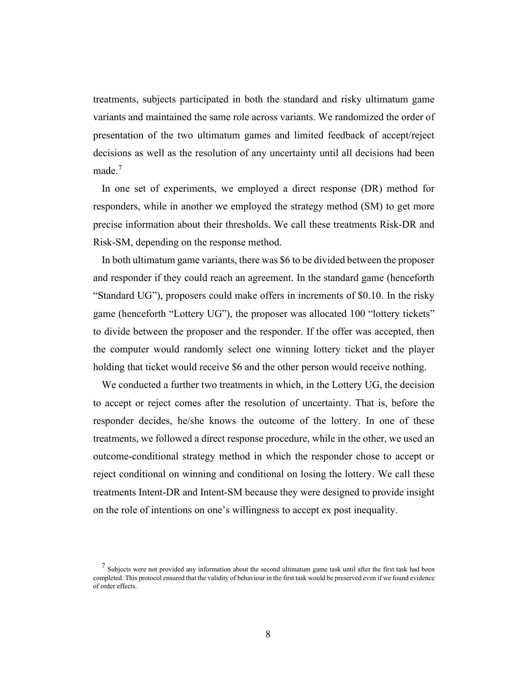treatments, subjects participated in both the standard and risky ultimatum game variants and maintained the same role across variants. We randomized the order of presentation of the two ultimatum games and limited feedback of accept/reject decisions as well as the resolution of any uncertainty until all decisions had been made.<sup>[7](#page-7-0)</sup>

In one set of experiments, we employed a direct response (DR) method for responders, while in another we employed the strategy method (SM) to get more precise information about their thresholds. We call these treatments Risk-DR and Risk-SM, depending on the response method.

In both ultimatum game variants, there was \$6 to be divided between the proposer and responder if they could reach an agreement. In the standard game (henceforth "Standard UG"), proposers could make offers in increments of \$0.10. In the risky game (henceforth "Lottery UG"), the proposer was allocated 100 "lottery tickets" to divide between the proposer and the responder. If the offer was accepted, then the computer would randomly select one winning lottery ticket and the player holding that ticket would receive \$6 and the other person would receive nothing.

We conducted a further two treatments in which, in the Lottery UG, the decision to accept or reject comes after the resolution of uncertainty. That is, before the responder decides, he/she knows the outcome of the lottery. In one of these treatments, we followed a direct response procedure, while in the other, we used an outcome-conditional strategy method in which the responder chose to accept or reject conditional on winning and conditional on losing the lottery. We call these treatments Intent-DR and Intent-SM because they were designed to provide insight on the role of intentions on one's willingness to accept ex post inequality.

<span id="page-7-0"></span> $<sup>7</sup>$  Subjects were not provided any information about the second ultimatum game task until after the first task had been</sup> completed. This protocol ensured that the validity of behaviour in the first task would be preserved even if we found evidence of order effects.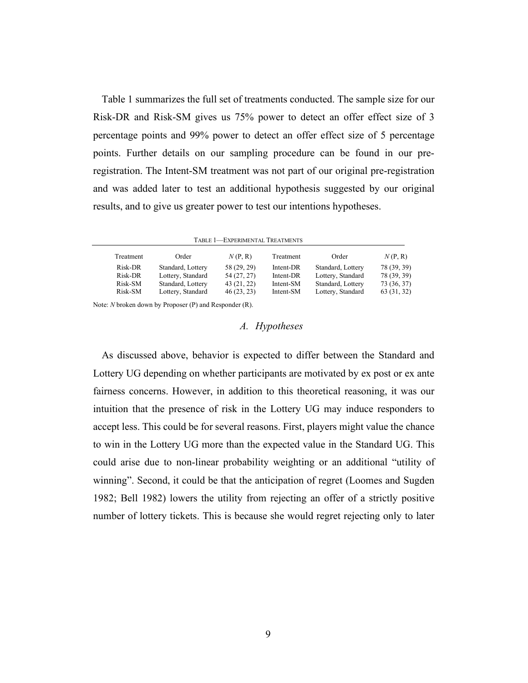Table 1 summarizes the full set of treatments conducted. The sample size for our Risk-DR and Risk-SM gives us 75% power to detect an offer effect size of 3 percentage points and 99% power to detect an offer effect size of 5 percentage points. Further details on our sampling procedure can be found in our preregistration. The Intent-SM treatment was not part of our original pre-registration and was added later to test an additional hypothesis suggested by our original results, and to give us greater power to test our intentions hypotheses.

| Treatment | Order             | N(P, R)     | Treatment | Order             | N(P, R)     |
|-----------|-------------------|-------------|-----------|-------------------|-------------|
| Risk-DR   | Standard, Lottery | 58 (29, 29) | Intent-DR | Standard, Lottery | 78 (39, 39) |
| Risk-DR   | Lottery, Standard | 54 (27, 27) | Intent-DR | Lottery, Standard | 78 (39, 39) |
| Risk-SM   | Standard, Lottery | 43 (21, 22) | Intent-SM | Standard, Lottery | 73 (36, 37) |
| Risk-SM   | Lottery, Standard | 46(23, 23)  | Intent-SM | Lottery, Standard | 63 (31, 32) |

Note: *N* broken down by Proposer (P) and Responder (R).

# *A. Hypotheses*

As discussed above, behavior is expected to differ between the Standard and Lottery UG depending on whether participants are motivated by ex post or ex ante fairness concerns. However, in addition to this theoretical reasoning, it was our intuition that the presence of risk in the Lottery UG may induce responders to accept less. This could be for several reasons. First, players might value the chance to win in the Lottery UG more than the expected value in the Standard UG. This could arise due to non-linear probability weighting or an additional "utility of winning". Second, it could be that the anticipation of regret (Loomes and Sugden 1982; Bell 1982) lowers the utility from rejecting an offer of a strictly positive number of lottery tickets. This is because she would regret rejecting only to later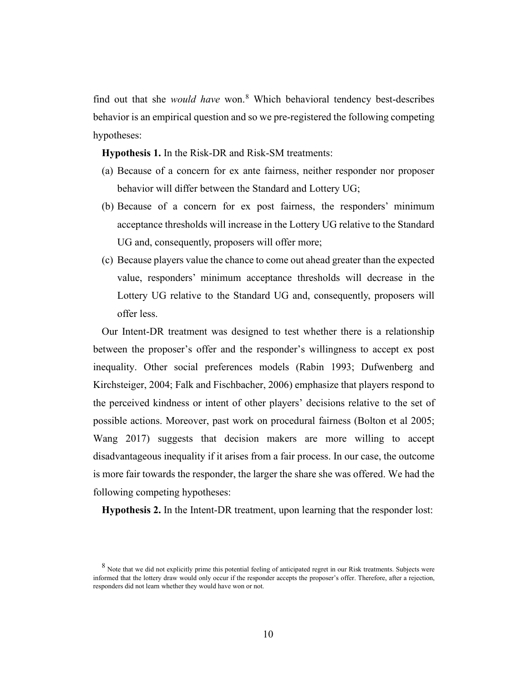find out that she *would have* won.<sup>[8](#page-9-0)</sup> Which behavioral tendency best-describes behavior is an empirical question and so we pre-registered the following competing hypotheses:

**Hypothesis 1.** In the Risk-DR and Risk-SM treatments:

- (a) Because of a concern for ex ante fairness, neither responder nor proposer behavior will differ between the Standard and Lottery UG;
- (b) Because of a concern for ex post fairness, the responders' minimum acceptance thresholds will increase in the Lottery UG relative to the Standard UG and, consequently, proposers will offer more;
- (c) Because players value the chance to come out ahead greater than the expected value, responders' minimum acceptance thresholds will decrease in the Lottery UG relative to the Standard UG and, consequently, proposers will offer less.

Our Intent-DR treatment was designed to test whether there is a relationship between the proposer's offer and the responder's willingness to accept ex post inequality. Other social preferences models (Rabin 1993; Dufwenberg and Kirchsteiger, 2004; Falk and Fischbacher, 2006) emphasize that players respond to the perceived kindness or intent of other players' decisions relative to the set of possible actions. Moreover, past work on procedural fairness (Bolton et al 2005; Wang 2017) suggests that decision makers are more willing to accept disadvantageous inequality if it arises from a fair process. In our case, the outcome is more fair towards the responder, the larger the share she was offered. We had the following competing hypotheses:

**Hypothesis 2.** In the Intent-DR treatment, upon learning that the responder lost:

<span id="page-9-0"></span> $8$  Note that we did not explicitly prime this potential feeling of anticipated regret in our Risk treatments. Subjects were informed that the lottery draw would only occur if the responder accepts the proposer's offer. Therefore, after a rejection, responders did not learn whether they would have won or not.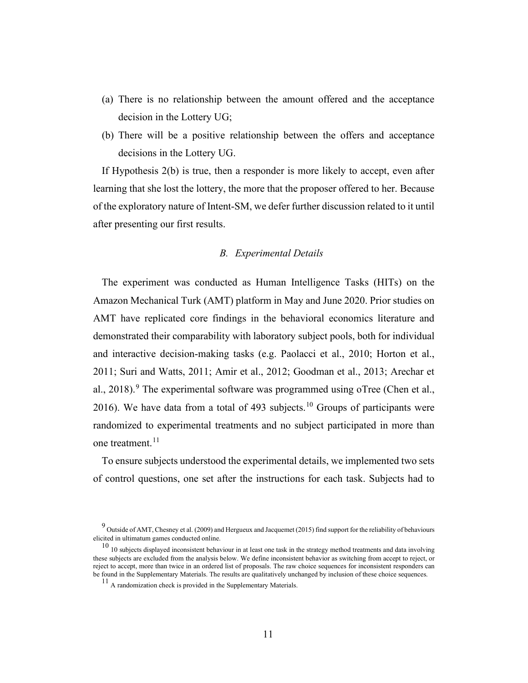- (a) There is no relationship between the amount offered and the acceptance decision in the Lottery UG;
- (b) There will be a positive relationship between the offers and acceptance decisions in the Lottery UG.

If Hypothesis 2(b) is true, then a responder is more likely to accept, even after learning that she lost the lottery, the more that the proposer offered to her. Because of the exploratory nature of Intent-SM, we defer further discussion related to it until after presenting our first results.

# *B. Experimental Details*

The experiment was conducted as Human Intelligence Tasks (HITs) on the Amazon Mechanical Turk (AMT) platform in May and June 2020. Prior studies on AMT have replicated core findings in the behavioral economics literature and demonstrated their comparability with laboratory subject pools, both for individual and interactive decision-making tasks (e.g. Paolacci et al., 2010; Horton et al., 2011; Suri and Watts, 2011; Amir et al., 2012; Goodman et al., 2013; Arechar et al., 2018). <sup>[9](#page-10-0)</sup> The experimental software was programmed using oTree (Chen et al., 2016). We have data from a total of 493 subjects.<sup>[10](#page-10-1)</sup> Groups of participants were randomized to experimental treatments and no subject participated in more than one treatment.<sup>[11](#page-10-2)</sup>

To ensure subjects understood the experimental details, we implemented two sets of control questions, one set after the instructions for each task. Subjects had to

<span id="page-10-0"></span> $^9$  Outside of AMT, Chesney et al. (2009) and Hergueux and Jacquemet (2015) find support for the reliability of behaviours elicited in ultimatum games conducted online.

<span id="page-10-2"></span><span id="page-10-1"></span> $10$  10 subjects displayed inconsistent behaviour in at least one task in the strategy method treatments and data involving these subjects are excluded from the analysis below. We define inconsistent behavior as switching from accept to reject, or reject to accept, more than twice in an ordered list of proposals. The raw choice sequences for inconsistent responders can be found in the Supplementary Materials. The results are qualitatively unchanged by inclusion of these choice sequences.

<sup>11</sup> A randomization check is provided in the Supplementary Materials.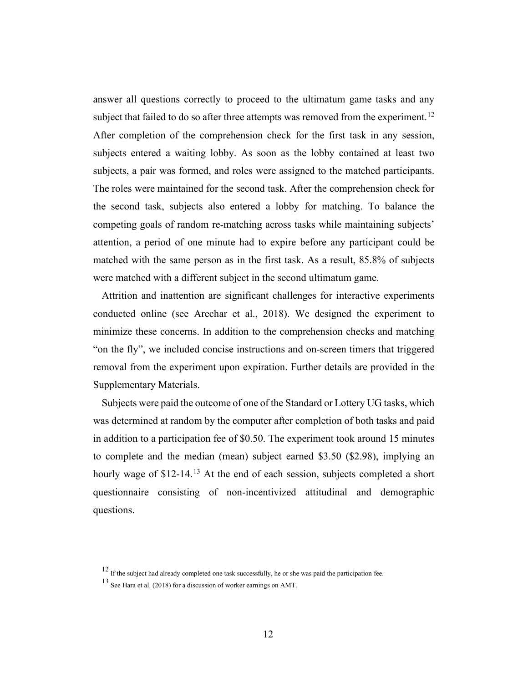answer all questions correctly to proceed to the ultimatum game tasks and any subject that failed to do so after three attempts was removed from the experiment.<sup>[12](#page-11-0)</sup> After completion of the comprehension check for the first task in any session, subjects entered a waiting lobby. As soon as the lobby contained at least two subjects, a pair was formed, and roles were assigned to the matched participants. The roles were maintained for the second task. After the comprehension check for the second task, subjects also entered a lobby for matching. To balance the competing goals of random re-matching across tasks while maintaining subjects' attention, a period of one minute had to expire before any participant could be matched with the same person as in the first task. As a result, 85.8% of subjects were matched with a different subject in the second ultimatum game.

Attrition and inattention are significant challenges for interactive experiments conducted online (see Arechar et al., 2018). We designed the experiment to minimize these concerns. In addition to the comprehension checks and matching "on the fly", we included concise instructions and on-screen timers that triggered removal from the experiment upon expiration. Further details are provided in the Supplementary Materials.

Subjects were paid the outcome of one of the Standard or Lottery UG tasks, which was determined at random by the computer after completion of both tasks and paid in addition to a participation fee of \$0.50. The experiment took around 15 minutes to complete and the median (mean) subject earned \$3.50 (\$2.98), implying an hourly wage of \$12-14.<sup>[13](#page-11-1)</sup> At the end of each session, subjects completed a short questionnaire consisting of non-incentivized attitudinal and demographic questions.

<span id="page-11-1"></span><span id="page-11-0"></span> $12$  If the subject had already completed one task successfully, he or she was paid the participation fee.

<sup>13</sup> See Hara et al. (2018) for a discussion of worker earnings on AMT.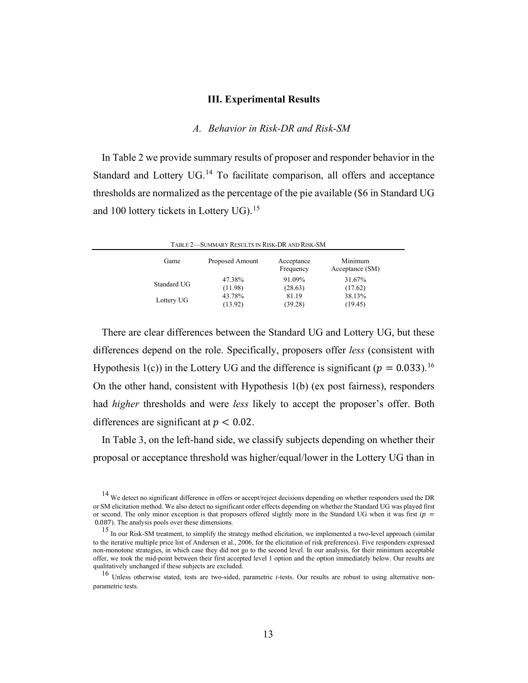#### **III. Experimental Results**

### *A. Behavior in Risk-DR and Risk-SM*

In Table 2 we provide summary results of proposer and responder behavior in the Standard and Lottery  $UG.$ <sup>[14](#page-12-0)</sup> To facilitate comparison, all offers and acceptance thresholds are normalized as the percentage of the pie available (\$6 in Standard UG and 100 lottery tickets in Lottery UG).<sup>[15](#page-12-1)</sup>

|             | TABLE 2—SUMMARY RESULTS IN RISK-DR AND RISK-SM |                         |                            |
|-------------|------------------------------------------------|-------------------------|----------------------------|
| Game        | Proposed Amount                                | Acceptance<br>Frequency | Minimum<br>Acceptance (SM) |
| Standard UG | 47.38%                                         | 91.09%                  | 31.67%                     |
|             | (11.98)                                        | (28.63)                 | (17.62)                    |
| Lottery UG  | 43.78%                                         | 81.19                   | 38.13%                     |
|             | (13.92)                                        | (39.28)                 | (19.45)                    |

There are clear differences between the Standard UG and Lottery UG, but these differences depend on the role. Specifically, proposers offer *less* (consistent with Hypothesis 1(c)) in the Lottery UG and the difference is significant ( $p = 0.033$ ).<sup>[16](#page-12-2)</sup> On the other hand, consistent with Hypothesis 1(b) (ex post fairness), responders had *higher* thresholds and were *less* likely to accept the proposer's offer. Both differences are significant at  $p < 0.02$ .

In Table 3, on the left-hand side, we classify subjects depending on whether their proposal or acceptance threshold was higher/equal/lower in the Lottery UG than in

<span id="page-12-0"></span><sup>&</sup>lt;sup>14</sup> We detect no significant difference in offers or accept/reject decisions depending on whether responders used the DR or SM elicitation method. We also detect no significant order effects depending on whether the Standard UG was played first or second. The only minor exception is that proposers offered slightly more in the Standard UG when it was first ( $p =$ 0.087). The analysis pools over these dimensions.

<span id="page-12-1"></span><sup>&</sup>lt;sup>15</sup> In our Risk-SM treatment, to simplify the strategy method elicitation, we implemented a two-level approach (similar to the iterative multiple price list of Andersen et al., 2006, for the elicitation of risk preferences). Five responders expressed non-monotone strategies, in which case they did not go to the second level. In our analysis, for their minimum acceptable offer, we took the mid-point between their first accepted level 1 option and the option immediately below. Our results are qualitatively unchanged if these subjects are excluded.

<span id="page-12-2"></span><sup>16</sup> Unless otherwise stated, tests are two-sided, parametric *t-*tests. Our results are robust to using alternative nonparametric tests.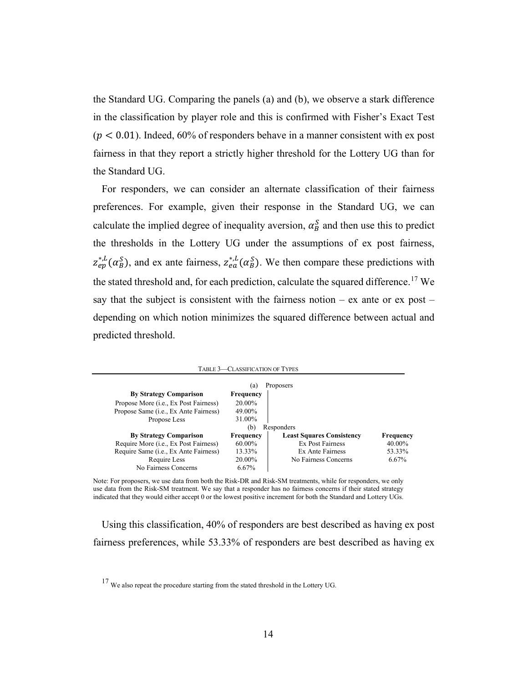the Standard UG. Comparing the panels (a) and (b), we observe a stark difference in the classification by player role and this is confirmed with Fisher's Exact Test  $(p < 0.01)$ . Indeed, 60% of responders behave in a manner consistent with ex post fairness in that they report a strictly higher threshold for the Lottery UG than for the Standard UG.

For responders, we can consider an alternate classification of their fairness preferences. For example, given their response in the Standard UG, we can calculate the implied degree of inequality aversion,  $\alpha_B^S$  and then use this to predict the thresholds in the Lottery UG under the assumptions of ex post fairness,  $z_{ep}^{*,L}(\alpha_B^S)$ , and ex ante fairness,  $z_{ea}^{*,L}(\alpha_B^S)$ . We then compare these predictions with the stated threshold and, for each prediction, calculate the squared difference.<sup>[17](#page-13-0)</sup> We say that the subject is consistent with the fairness notion – ex ante or  $ex$  post – depending on which notion minimizes the squared difference between actual and predicted threshold.

|                                                | <b>TABLE 3-CLASSIFICATION OF TYPES</b> |                                  |           |
|------------------------------------------------|----------------------------------------|----------------------------------|-----------|
|                                                | (a)                                    | Proposers                        |           |
| <b>By Strategy Comparison</b>                  | <b>Frequency</b>                       |                                  |           |
| Propose More ( <i>i.e.</i> , Ex Post Fairness) | 20.00%                                 |                                  |           |
| Propose Same ( <i>i.e.</i> , Ex Ante Fairness) | 49.00%                                 |                                  |           |
| Propose Less                                   | 31.00%                                 |                                  |           |
|                                                | (b)                                    | Responders                       |           |
| <b>By Strategy Comparison</b>                  | <b>Frequency</b>                       | <b>Least Squares Consistency</b> | Frequency |
| Require More (i.e., Ex Post Fairness)          | 60.00%                                 | <b>Ex Post Fairness</b>          | 40.00%    |
| Require Same ( <i>i.e.</i> , Ex Ante Fairness) | 13.33%                                 | Ex Ante Fairness                 | 53.33%    |
| Require Less                                   | 20.00%                                 | No Fairness Concerns             | 6.67%     |
| No Fairness Concerns                           | 6.67%                                  |                                  |           |

Note: For proposers, we use data from both the Risk-DR and Risk-SM treatments, while for responders, we only use data from the Risk-SM treatment. We say that a responder has no fairness concerns if their stated strategy indicated that they would either accept 0 or the lowest positive increment for both the Standard and Lottery UGs.

Using this classification, 40% of responders are best described as having ex post fairness preferences, while 53.33% of responders are best described as having ex

<span id="page-13-0"></span><sup>&</sup>lt;sup>17</sup> We also repeat the procedure starting from the stated threshold in the Lottery UG.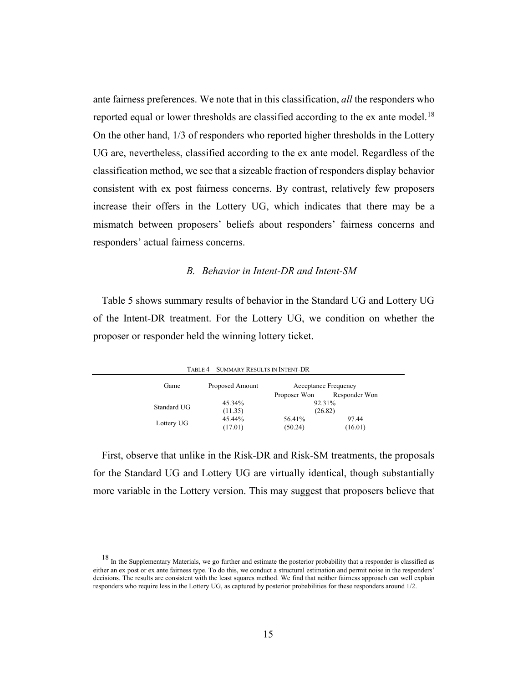ante fairness preferences. We note that in this classification, *all* the responders who reported equal or lower thresholds are classified according to the ex ante model.<sup>[18](#page-14-0)</sup> On the other hand, 1/3 of responders who reported higher thresholds in the Lottery UG are, nevertheless, classified according to the ex ante model. Regardless of the classification method, we see that a sizeable fraction of responders display behavior consistent with ex post fairness concerns. By contrast, relatively few proposers increase their offers in the Lottery UG, which indicates that there may be a mismatch between proposers' beliefs about responders' fairness concerns and responders' actual fairness concerns.

# *B. Behavior in Intent-DR and Intent-SM*

Table 5 shows summary results of behavior in the Standard UG and Lottery UG of the Intent-DR treatment. For the Lottery UG, we condition on whether the proposer or responder held the winning lottery ticket.

TABLE 4—SUMMARY RESULTS IN INTENT-DR

| Game        | Proposed Amount | Acceptance Frequency |               |
|-------------|-----------------|----------------------|---------------|
|             |                 | Proposer Won         | Responder Won |
| Standard UG | 45.34%          | 92.31%               |               |
|             | (11.35)         | (26.82)              |               |
|             | 45.44%          | 56.41%               | 97.44         |
| Lottery UG  | (17.01)         | (50.24)              | (16.01)       |

First, observe that unlike in the Risk-DR and Risk-SM treatments, the proposals for the Standard UG and Lottery UG are virtually identical, though substantially more variable in the Lottery version. This may suggest that proposers believe that

<span id="page-14-0"></span> $18$  In the Supplementary Materials, we go further and estimate the posterior probability that a responder is classified as either an ex post or ex ante fairness type. To do this, we conduct a structural estimation and permit noise in the responders' decisions. The results are consistent with the least squares method. We find that neither fairness approach can well explain responders who require less in the Lottery UG, as captured by posterior probabilities for these responders around 1/2.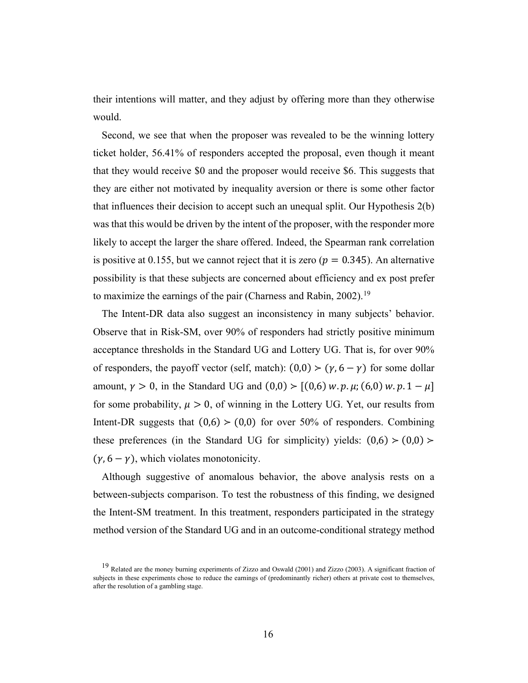their intentions will matter, and they adjust by offering more than they otherwise would.

Second, we see that when the proposer was revealed to be the winning lottery ticket holder, 56.41% of responders accepted the proposal, even though it meant that they would receive \$0 and the proposer would receive \$6. This suggests that they are either not motivated by inequality aversion or there is some other factor that influences their decision to accept such an unequal split. Our Hypothesis 2(b) was that this would be driven by the intent of the proposer, with the responder more likely to accept the larger the share offered. Indeed, the Spearman rank correlation is positive at 0.155, but we cannot reject that it is zero ( $p = 0.345$ ). An alternative possibility is that these subjects are concerned about efficiency and ex post prefer to maximize the earnings of the pair (Charness and Rabin,  $2002$ ).<sup>[19](#page-15-0)</sup>

The Intent-DR data also suggest an inconsistency in many subjects' behavior. Observe that in Risk-SM, over 90% of responders had strictly positive minimum acceptance thresholds in the Standard UG and Lottery UG. That is, for over 90% of responders, the payoff vector (self, match):  $(0,0)$  >  $(\gamma, 6 - \gamma)$  for some dollar amount,  $\gamma > 0$ , in the Standard UG and  $(0,0) > [(0,6) w. p. \mu; (6,0) w. p. 1 - \mu]$ for some probability,  $\mu > 0$ , of winning in the Lottery UG. Yet, our results from Intent-DR suggests that  $(0,6)$  >  $(0,0)$  for over 50% of responders. Combining these preferences (in the Standard UG for simplicity) yields:  $(0,6)$  >  $(0,0)$  >  $(\gamma, 6 - \gamma)$ , which violates monotonicity.

Although suggestive of anomalous behavior, the above analysis rests on a between-subjects comparison. To test the robustness of this finding, we designed the Intent-SM treatment. In this treatment, responders participated in the strategy method version of the Standard UG and in an outcome-conditional strategy method

<span id="page-15-0"></span><sup>&</sup>lt;sup>19</sup> Related are the money burning experiments of Zizzo and Oswald (2001) and Zizzo (2003). A significant fraction of subjects in these experiments chose to reduce the earnings of (predominantly richer) others at private cost to themselves, after the resolution of a gambling stage.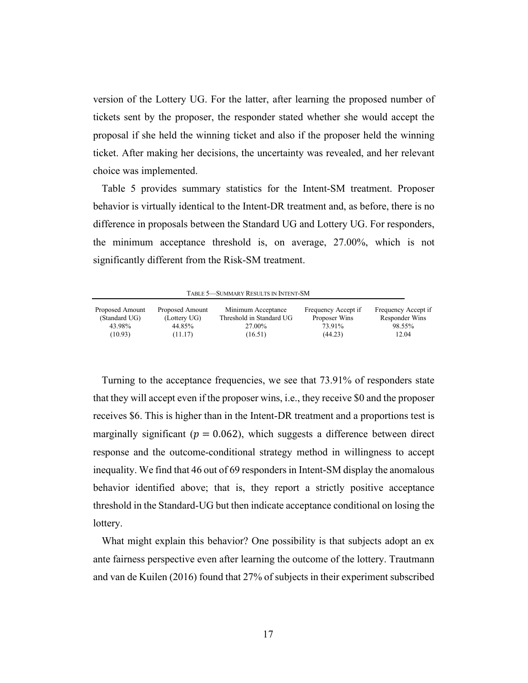version of the Lottery UG. For the latter, after learning the proposed number of tickets sent by the proposer, the responder stated whether she would accept the proposal if she held the winning ticket and also if the proposer held the winning ticket. After making her decisions, the uncertainty was revealed, and her relevant choice was implemented.

Table 5 provides summary statistics for the Intent-SM treatment. Proposer behavior is virtually identical to the Intent-DR treatment and, as before, there is no difference in proposals between the Standard UG and Lottery UG. For responders, the minimum acceptance threshold is, on average, 27.00%, which is not significantly different from the Risk-SM treatment.

|  | <b>TABLE 5-SUMMARY RESULTS IN INTENT-SM</b> |  |  |  |
|--|---------------------------------------------|--|--|--|
|--|---------------------------------------------|--|--|--|

| Proposed Amount<br>(Standard UG) | Proposed Amount<br>(Lottery UG) | Minimum Acceptance<br>Threshold in Standard UG | Frequency Accept if<br>Proposer Wins | Frequency Accept if<br>Responder Wins |
|----------------------------------|---------------------------------|------------------------------------------------|--------------------------------------|---------------------------------------|
| 43.98%                           | 44.85%                          | 27.00%                                         | 73.91%                               | 98.55%                                |
| (10.93)                          | (11.17)                         | (16.51)                                        | (44.23)                              | 12.04                                 |

Turning to the acceptance frequencies, we see that 73.91% of responders state that they will accept even if the proposer wins, i.e., they receive \$0 and the proposer receives \$6. This is higher than in the Intent-DR treatment and a proportions test is marginally significant ( $p = 0.062$ ), which suggests a difference between direct response and the outcome-conditional strategy method in willingness to accept inequality. We find that 46 out of 69 responders in Intent-SM display the anomalous behavior identified above; that is, they report a strictly positive acceptance threshold in the Standard-UG but then indicate acceptance conditional on losing the lottery.

What might explain this behavior? One possibility is that subjects adopt an ex ante fairness perspective even after learning the outcome of the lottery. Trautmann and van de Kuilen (2016) found that 27% of subjects in their experiment subscribed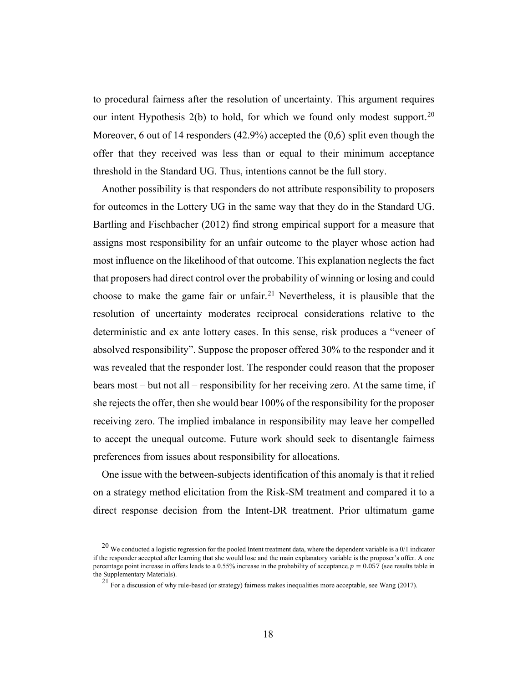to procedural fairness after the resolution of uncertainty. This argument requires our intent Hypothesis  $2(b)$  to hold, for which we found only modest support.<sup>[20](#page-17-0)</sup> Moreover, 6 out of 14 responders (42.9%) accepted the (0,6) split even though the offer that they received was less than or equal to their minimum acceptance threshold in the Standard UG. Thus, intentions cannot be the full story.

Another possibility is that responders do not attribute responsibility to proposers for outcomes in the Lottery UG in the same way that they do in the Standard UG. Bartling and Fischbacher (2012) find strong empirical support for a measure that assigns most responsibility for an unfair outcome to the player whose action had most influence on the likelihood of that outcome. This explanation neglects the fact that proposers had direct control over the probability of winning or losing and could choose to make the game fair or unfair. [21](#page-17-1) Nevertheless, it is plausible that the resolution of uncertainty moderates reciprocal considerations relative to the deterministic and ex ante lottery cases. In this sense, risk produces a "veneer of absolved responsibility". Suppose the proposer offered 30% to the responder and it was revealed that the responder lost. The responder could reason that the proposer bears most – but not all – responsibility for her receiving zero. At the same time, if she rejects the offer, then she would bear 100% of the responsibility for the proposer receiving zero. The implied imbalance in responsibility may leave her compelled to accept the unequal outcome. Future work should seek to disentangle fairness preferences from issues about responsibility for allocations.

One issue with the between-subjects identification of this anomaly is that it relied on a strategy method elicitation from the Risk-SM treatment and compared it to a direct response decision from the Intent-DR treatment. Prior ultimatum game

<span id="page-17-1"></span><span id="page-17-0"></span> $20$  We conducted a logistic regression for the pooled Intent treatment data, where the dependent variable is a  $0/1$  indicator if the responder accepted after learning that she would lose and the main explanatory variable is the proposer's offer. A one percentage point increase in offers leads to a 0.55% increase in the probability of acceptance,  $p = 0.057$  (see results table in the Supplementary Materials).

<sup>&</sup>lt;sup>21</sup> For a discussion of why rule-based (or strategy) fairness makes inequalities more acceptable, see Wang (2017).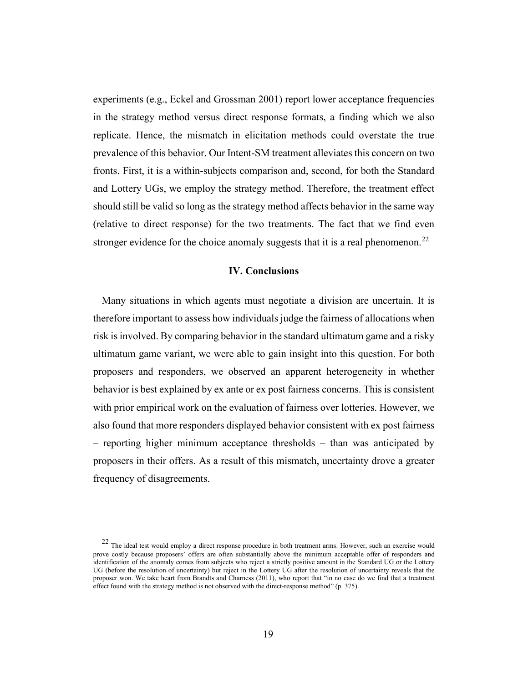experiments (e.g., Eckel and Grossman 2001) report lower acceptance frequencies in the strategy method versus direct response formats, a finding which we also replicate. Hence, the mismatch in elicitation methods could overstate the true prevalence of this behavior. Our Intent-SM treatment alleviates this concern on two fronts. First, it is a within-subjects comparison and, second, for both the Standard and Lottery UGs, we employ the strategy method. Therefore, the treatment effect should still be valid so long as the strategy method affects behavior in the same way (relative to direct response) for the two treatments. The fact that we find even stronger evidence for the choice anomaly suggests that it is a real phenomenon.<sup>[22](#page-18-0)</sup>

### **IV. Conclusions**

Many situations in which agents must negotiate a division are uncertain. It is therefore important to assess how individuals judge the fairness of allocations when risk is involved. By comparing behavior in the standard ultimatum game and a risky ultimatum game variant, we were able to gain insight into this question. For both proposers and responders, we observed an apparent heterogeneity in whether behavior is best explained by ex ante or ex post fairness concerns. This is consistent with prior empirical work on the evaluation of fairness over lotteries. However, we also found that more responders displayed behavior consistent with ex post fairness – reporting higher minimum acceptance thresholds – than was anticipated by proposers in their offers. As a result of this mismatch, uncertainty drove a greater frequency of disagreements.

<span id="page-18-0"></span> $22$  The ideal test would employ a direct response procedure in both treatment arms. However, such an exercise would prove costly because proposers' offers are often substantially above the minimum acceptable offer of responders and identification of the anomaly comes from subjects who reject a strictly positive amount in the Standard UG or the Lottery UG (before the resolution of uncertainty) but reject in the Lottery UG after the resolution of uncertainty reveals that the proposer won. We take heart from Brandts and Charness (2011), who report that "in no case do we find that a treatment effect found with the strategy method is not observed with the direct-response method" (p. 375).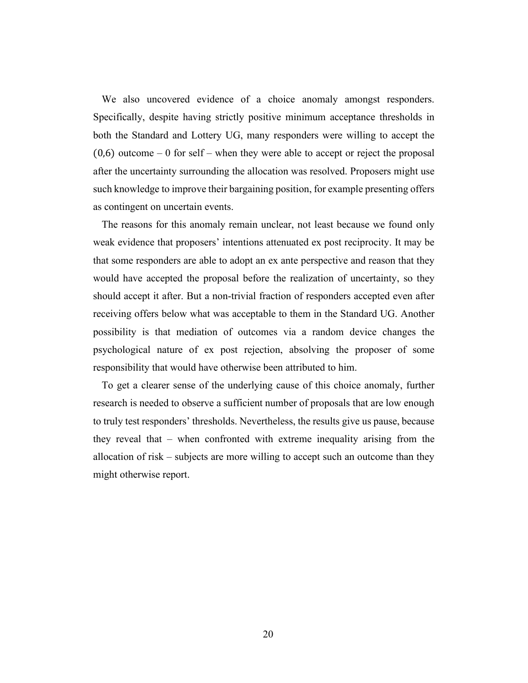We also uncovered evidence of a choice anomaly amongst responders. Specifically, despite having strictly positive minimum acceptance thresholds in both the Standard and Lottery UG, many responders were willing to accept the  $(0,6)$  outcome – 0 for self – when they were able to accept or reject the proposal after the uncertainty surrounding the allocation was resolved. Proposers might use such knowledge to improve their bargaining position, for example presenting offers as contingent on uncertain events.

The reasons for this anomaly remain unclear, not least because we found only weak evidence that proposers' intentions attenuated ex post reciprocity. It may be that some responders are able to adopt an ex ante perspective and reason that they would have accepted the proposal before the realization of uncertainty, so they should accept it after. But a non-trivial fraction of responders accepted even after receiving offers below what was acceptable to them in the Standard UG. Another possibility is that mediation of outcomes via a random device changes the psychological nature of ex post rejection, absolving the proposer of some responsibility that would have otherwise been attributed to him.

To get a clearer sense of the underlying cause of this choice anomaly, further research is needed to observe a sufficient number of proposals that are low enough to truly test responders' thresholds. Nevertheless, the results give us pause, because they reveal that – when confronted with extreme inequality arising from the allocation of risk – subjects are more willing to accept such an outcome than they might otherwise report.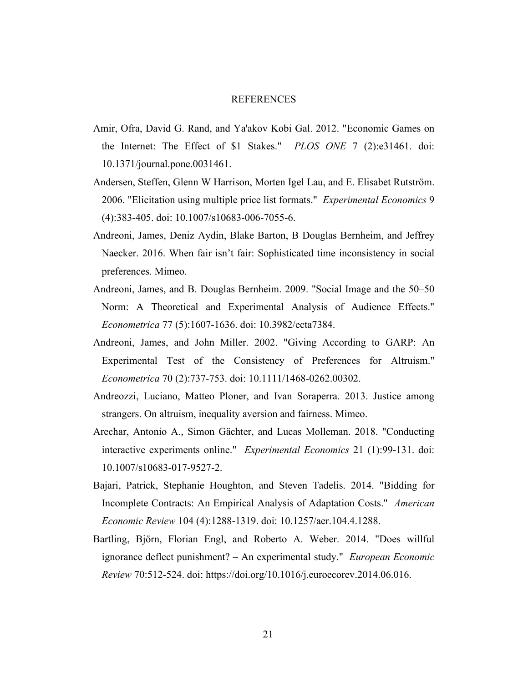#### REFERENCES

- Amir, Ofra, David G. Rand, and Ya'akov Kobi Gal. 2012. "Economic Games on the Internet: The Effect of \$1 Stakes." *PLOS ONE* 7 (2):e31461. doi: 10.1371/journal.pone.0031461.
- Andersen, Steffen, Glenn W Harrison, Morten Igel Lau, and E. Elisabet Rutström. 2006. "Elicitation using multiple price list formats." *Experimental Economics* 9 (4):383-405. doi: 10.1007/s10683-006-7055-6.
- Andreoni, James, Deniz Aydin, Blake Barton, B Douglas Bernheim, and Jeffrey Naecker. 2016. When fair isn't fair: Sophisticated time inconsistency in social preferences. Mimeo.
- Andreoni, James, and B. Douglas Bernheim. 2009. "Social Image and the 50–50 Norm: A Theoretical and Experimental Analysis of Audience Effects." *Econometrica* 77 (5):1607-1636. doi: 10.3982/ecta7384.
- Andreoni, James, and John Miller. 2002. "Giving According to GARP: An Experimental Test of the Consistency of Preferences for Altruism." *Econometrica* 70 (2):737-753. doi: 10.1111/1468-0262.00302.
- Andreozzi, Luciano, Matteo Ploner, and Ivan Soraperra. 2013. Justice among strangers. On altruism, inequality aversion and fairness. Mimeo.
- Arechar, Antonio A., Simon Gächter, and Lucas Molleman. 2018. "Conducting interactive experiments online." *Experimental Economics* 21 (1):99-131. doi: 10.1007/s10683-017-9527-2.
- Bajari, Patrick, Stephanie Houghton, and Steven Tadelis. 2014. "Bidding for Incomplete Contracts: An Empirical Analysis of Adaptation Costs." *American Economic Review* 104 (4):1288-1319. doi: 10.1257/aer.104.4.1288.
- Bartling, Björn, Florian Engl, and Roberto A. Weber. 2014. "Does willful ignorance deflect punishment? – An experimental study." *European Economic Review* 70:512-524. doi: https://doi.org/10.1016/j.euroecorev.2014.06.016.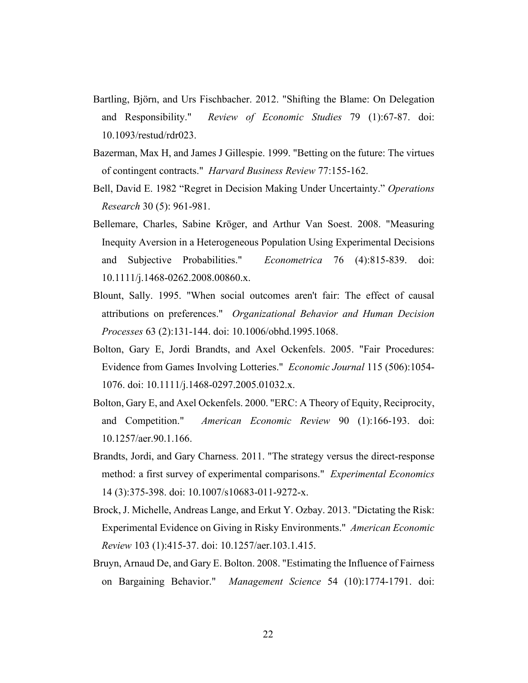- Bartling, Björn, and Urs Fischbacher. 2012. "Shifting the Blame: On Delegation and Responsibility." *Review of Economic Studies* 79 (1):67-87. doi: 10.1093/restud/rdr023.
- Bazerman, Max H, and James J Gillespie. 1999. "Betting on the future: The virtues of contingent contracts." *Harvard Business Review* 77:155-162.
- Bell, David E. 1982 "Regret in Decision Making Under Uncertainty." *Operations Research* 30 (5): 961-981.
- Bellemare, Charles, Sabine Kröger, and Arthur Van Soest. 2008. "Measuring Inequity Aversion in a Heterogeneous Population Using Experimental Decisions and Subjective Probabilities." *Econometrica* 76 (4):815-839. doi: 10.1111/j.1468-0262.2008.00860.x.
- Blount, Sally. 1995. "When social outcomes aren't fair: The effect of causal attributions on preferences." *Organizational Behavior and Human Decision Processes* 63 (2):131-144. doi: 10.1006/obhd.1995.1068.
- Bolton, Gary E, Jordi Brandts, and Axel Ockenfels. 2005. "Fair Procedures: Evidence from Games Involving Lotteries." *Economic Journal* 115 (506):1054- 1076. doi: 10.1111/j.1468-0297.2005.01032.x.
- Bolton, Gary E, and Axel Ockenfels. 2000. "ERC: A Theory of Equity, Reciprocity, and Competition." *American Economic Review* 90 (1):166-193. doi: 10.1257/aer.90.1.166.
- Brandts, Jordi, and Gary Charness. 2011. "The strategy versus the direct-response method: a first survey of experimental comparisons." *Experimental Economics* 14 (3):375-398. doi: 10.1007/s10683-011-9272-x.
- Brock, J. Michelle, Andreas Lange, and Erkut Y. Ozbay. 2013. "Dictating the Risk: Experimental Evidence on Giving in Risky Environments." *American Economic Review* 103 (1):415-37. doi: 10.1257/aer.103.1.415.
- Bruyn, Arnaud De, and Gary E. Bolton. 2008. "Estimating the Influence of Fairness on Bargaining Behavior." *Management Science* 54 (10):1774-1791. doi: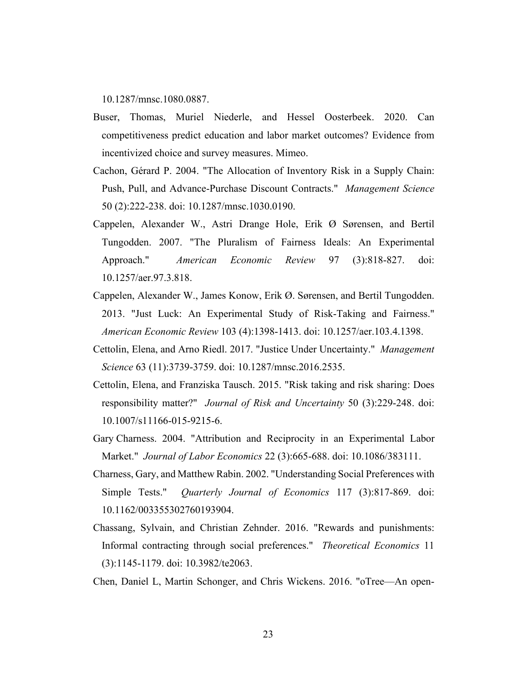10.1287/mnsc.1080.0887.

- Buser, Thomas, Muriel Niederle, and Hessel Oosterbeek. 2020. Can competitiveness predict education and labor market outcomes? Evidence from incentivized choice and survey measures. Mimeo.
- Cachon, Gérard P. 2004. "The Allocation of Inventory Risk in a Supply Chain: Push, Pull, and Advance-Purchase Discount Contracts." *Management Science* 50 (2):222-238. doi: 10.1287/mnsc.1030.0190.
- Cappelen, Alexander W., Astri Drange Hole, Erik Ø Sørensen, and Bertil Tungodden. 2007. "The Pluralism of Fairness Ideals: An Experimental Approach." *American Economic Review* 97 (3):818-827. doi: 10.1257/aer.97.3.818.
- Cappelen, Alexander W., James Konow, Erik Ø. Sørensen, and Bertil Tungodden. 2013. "Just Luck: An Experimental Study of Risk-Taking and Fairness." *American Economic Review* 103 (4):1398-1413. doi: 10.1257/aer.103.4.1398.
- Cettolin, Elena, and Arno Riedl. 2017. "Justice Under Uncertainty." *Management Science* 63 (11):3739-3759. doi: 10.1287/mnsc.2016.2535.
- Cettolin, Elena, and Franziska Tausch. 2015. "Risk taking and risk sharing: Does responsibility matter?" *Journal of Risk and Uncertainty* 50 (3):229-248. doi: 10.1007/s11166-015-9215-6.
- Gary Charness. 2004. "Attribution and Reciprocity in an Experimental Labor Market." *Journal of Labor Economics* 22 (3):665-688. doi: 10.1086/383111.
- Charness, Gary, and Matthew Rabin. 2002. "Understanding Social Preferences with Simple Tests." *Quarterly Journal of Economics* 117 (3):817-869. doi: 10.1162/003355302760193904.
- Chassang, Sylvain, and Christian Zehnder. 2016. "Rewards and punishments: Informal contracting through social preferences." *Theoretical Economics* 11 (3):1145-1179. doi: 10.3982/te2063.
- Chen, Daniel L, Martin Schonger, and Chris Wickens. 2016. "oTree—An open-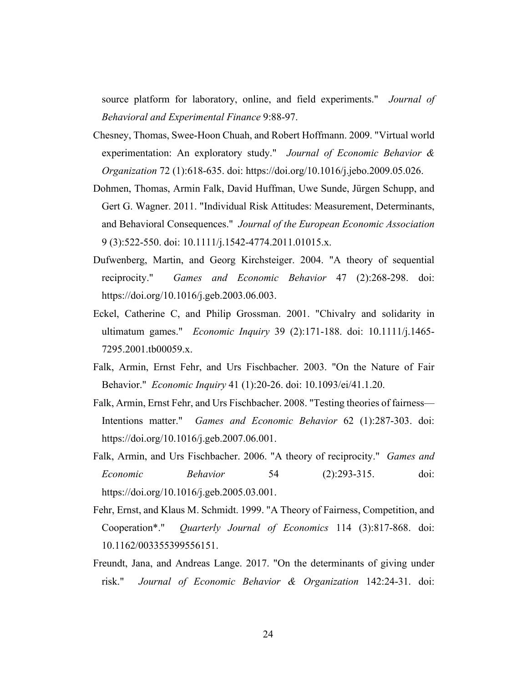source platform for laboratory, online, and field experiments." *Journal of Behavioral and Experimental Finance* 9:88-97.

- Chesney, Thomas, Swee-Hoon Chuah, and Robert Hoffmann. 2009. "Virtual world experimentation: An exploratory study." *Journal of Economic Behavior & Organization* 72 (1):618-635. doi: https://doi.org/10.1016/j.jebo.2009.05.026.
- Dohmen, Thomas, Armin Falk, David Huffman, Uwe Sunde, Jürgen Schupp, and Gert G. Wagner. 2011. "Individual Risk Attitudes: Measurement, Determinants, and Behavioral Consequences." *Journal of the European Economic Association* 9 (3):522-550. doi: 10.1111/j.1542-4774.2011.01015.x.
- Dufwenberg, Martin, and Georg Kirchsteiger. 2004. "A theory of sequential reciprocity." *Games and Economic Behavior* 47 (2):268-298. doi: https://doi.org/10.1016/j.geb.2003.06.003.
- Eckel, Catherine C, and Philip Grossman. 2001. "Chivalry and solidarity in ultimatum games." *Economic Inquiry* 39 (2):171-188. doi: 10.1111/j.1465- 7295.2001.tb00059.x.
- Falk, Armin, Ernst Fehr, and Urs Fischbacher. 2003. "On the Nature of Fair Behavior." *Economic Inquiry* 41 (1):20-26. doi: 10.1093/ei/41.1.20.
- Falk, Armin, Ernst Fehr, and Urs Fischbacher. 2008. "Testing theories of fairness— Intentions matter." *Games and Economic Behavior* 62 (1):287-303. doi: https://doi.org/10.1016/j.geb.2007.06.001.
- Falk, Armin, and Urs Fischbacher. 2006. "A theory of reciprocity." *Games and Economic Behavior* 54 (2):293-315. doi: https://doi.org/10.1016/j.geb.2005.03.001.
- Fehr, Ernst, and Klaus M. Schmidt. 1999. "A Theory of Fairness, Competition, and Cooperation\*." *Quarterly Journal of Economics* 114 (3):817-868. doi: 10.1162/003355399556151.
- Freundt, Jana, and Andreas Lange. 2017. "On the determinants of giving under risk." *Journal of Economic Behavior & Organization* 142:24-31. doi: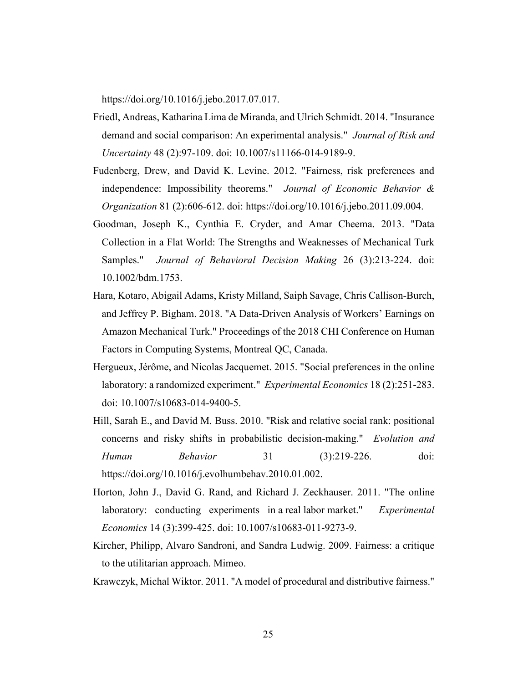https://doi.org/10.1016/j.jebo.2017.07.017.

- Friedl, Andreas, Katharina Lima de Miranda, and Ulrich Schmidt. 2014. "Insurance demand and social comparison: An experimental analysis." *Journal of Risk and Uncertainty* 48 (2):97-109. doi: 10.1007/s11166-014-9189-9.
- Fudenberg, Drew, and David K. Levine. 2012. "Fairness, risk preferences and independence: Impossibility theorems." *Journal of Economic Behavior & Organization* 81 (2):606-612. doi: https://doi.org/10.1016/j.jebo.2011.09.004.
- Goodman, Joseph K., Cynthia E. Cryder, and Amar Cheema. 2013. "Data Collection in a Flat World: The Strengths and Weaknesses of Mechanical Turk Samples." *Journal of Behavioral Decision Making* 26 (3):213-224. doi: 10.1002/bdm.1753.
- Hara, Kotaro, Abigail Adams, Kristy Milland, Saiph Savage, Chris Callison-Burch, and Jeffrey P. Bigham. 2018. "A Data-Driven Analysis of Workers' Earnings on Amazon Mechanical Turk." Proceedings of the 2018 CHI Conference on Human Factors in Computing Systems, Montreal QC, Canada.
- Hergueux, Jérôme, and Nicolas Jacquemet. 2015. "Social preferences in the online laboratory: a randomized experiment." *Experimental Economics* 18 (2):251-283. doi: 10.1007/s10683-014-9400-5.
- Hill, Sarah E., and David M. Buss. 2010. "Risk and relative social rank: positional concerns and risky shifts in probabilistic decision-making." *Evolution and Human Behavior* 31 (3):219-226. doi: https://doi.org/10.1016/j.evolhumbehav.2010.01.002.
- Horton, John J., David G. Rand, and Richard J. Zeckhauser. 2011. "The online laboratory: conducting experiments in a real labor market." *Experimental Economics* 14 (3):399-425. doi: 10.1007/s10683-011-9273-9.
- Kircher, Philipp, Alvaro Sandroni, and Sandra Ludwig. 2009. Fairness: a critique to the utilitarian approach. Mimeo.
- Krawczyk, Michal Wiktor. 2011. "A model of procedural and distributive fairness."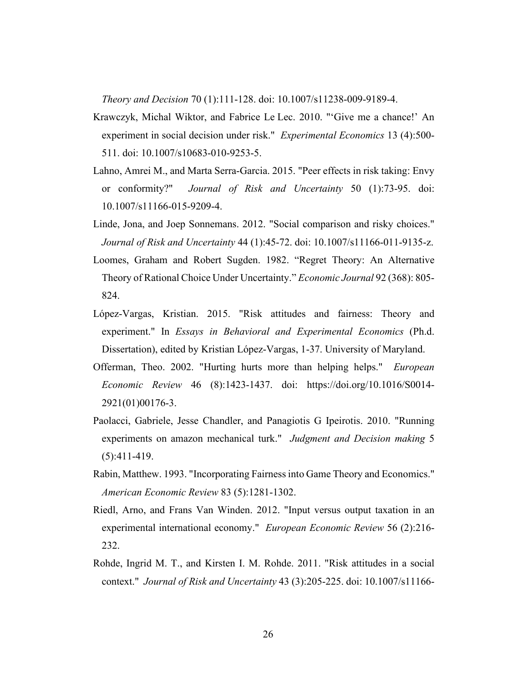*Theory and Decision* 70 (1):111-128. doi: 10.1007/s11238-009-9189-4.

- Krawczyk, Michal Wiktor, and Fabrice Le Lec. 2010. "'Give me a chance!' An experiment in social decision under risk." *Experimental Economics* 13 (4):500- 511. doi: 10.1007/s10683-010-9253-5.
- Lahno, Amrei M., and Marta Serra-Garcia. 2015. "Peer effects in risk taking: Envy or conformity?" *Journal of Risk and Uncertainty* 50 (1):73-95. doi: 10.1007/s11166-015-9209-4.
- Linde, Jona, and Joep Sonnemans. 2012. "Social comparison and risky choices." *Journal of Risk and Uncertainty* 44 (1):45-72. doi: 10.1007/s11166-011-9135-z.
- Loomes, Graham and Robert Sugden. 1982. "Regret Theory: An Alternative Theory of Rational Choice Under Uncertainty." *Economic Journal* 92 (368): 805- 824.
- López-Vargas, Kristian. 2015. "Risk attitudes and fairness: Theory and experiment." In *Essays in Behavioral and Experimental Economics* (Ph.d. Dissertation), edited by Kristian López-Vargas, 1-37. University of Maryland.
- Offerman, Theo. 2002. "Hurting hurts more than helping helps." *European Economic Review* 46 (8):1423-1437. doi: https://doi.org/10.1016/S0014- 2921(01)00176-3.
- Paolacci, Gabriele, Jesse Chandler, and Panagiotis G Ipeirotis. 2010. "Running experiments on amazon mechanical turk." *Judgment and Decision making* 5 (5):411-419.
- Rabin, Matthew. 1993. "Incorporating Fairness into Game Theory and Economics." *American Economic Review* 83 (5):1281-1302.
- Riedl, Arno, and Frans Van Winden. 2012. "Input versus output taxation in an experimental international economy." *European Economic Review* 56 (2):216- 232.
- Rohde, Ingrid M. T., and Kirsten I. M. Rohde. 2011. "Risk attitudes in a social context." *Journal of Risk and Uncertainty* 43 (3):205-225. doi: 10.1007/s11166-